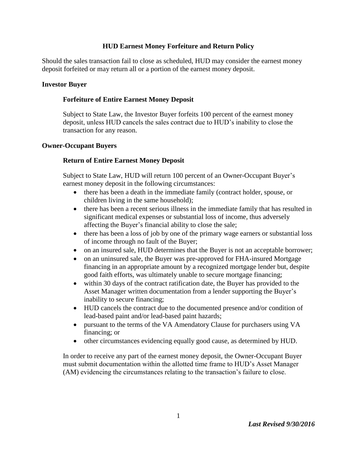# **HUD Earnest Money Forfeiture and Return Policy**

Should the sales transaction fail to close as scheduled, HUD may consider the earnest money deposit forfeited or may return all or a portion of the earnest money deposit.

### **Investor Buyer**

## **Forfeiture of Entire Earnest Money Deposit**

Subject to State Law, the Investor Buyer forfeits 100 percent of the earnest money deposit, unless HUD cancels the sales contract due to HUD's inability to close the transaction for any reason.

#### **Owner-Occupant Buyers**

## **Return of Entire Earnest Money Deposit**

Subject to State Law, HUD will return 100 percent of an Owner-Occupant Buyer's earnest money deposit in the following circumstances:

- there has been a death in the immediate family (contract holder, spouse, or children living in the same household);
- there has been a recent serious illness in the immediate family that has resulted in significant medical expenses or substantial loss of income, thus adversely affecting the Buyer's financial ability to close the sale;
- there has been a loss of job by one of the primary wage earners or substantial loss of income through no fault of the Buyer;
- on an insured sale, HUD determines that the Buyer is not an acceptable borrower;
- on an uninsured sale, the Buyer was pre-approved for FHA-insured Mortgage financing in an appropriate amount by a recognized mortgage lender but, despite good faith efforts, was ultimately unable to secure mortgage financing;
- within 30 days of the contract ratification date, the Buyer has provided to the Asset Manager written documentation from a lender supporting the Buyer's inability to secure financing;
- HUD cancels the contract due to the documented presence and/or condition of lead-based paint and/or lead-based paint hazards;
- pursuant to the terms of the VA Amendatory Clause for purchasers using VA financing; or
- other circumstances evidencing equally good cause, as determined by HUD.

In order to receive any part of the earnest money deposit, the Owner-Occupant Buyer must submit documentation within the allotted time frame to HUD's Asset Manager (AM) evidencing the circumstances relating to the transaction's failure to close.